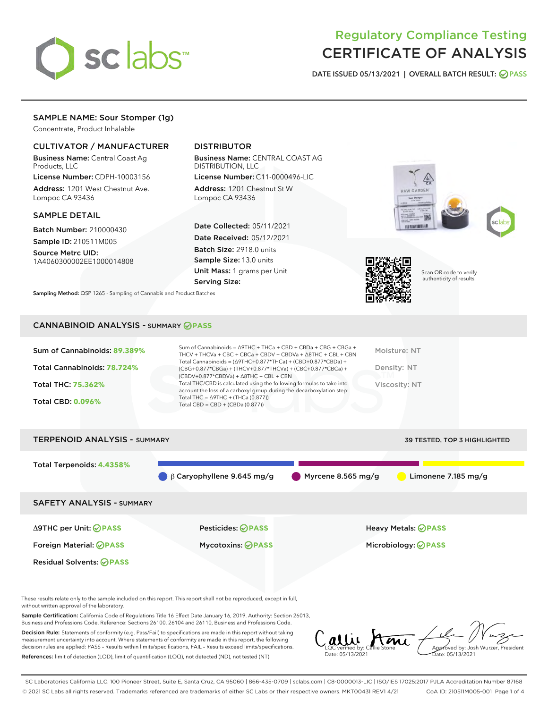

# Regulatory Compliance Testing CERTIFICATE OF ANALYSIS

DATE ISSUED 05/13/2021 | OVERALL BATCH RESULT: @ PASS

## SAMPLE NAME: Sour Stomper (1g)

Concentrate, Product Inhalable

## CULTIVATOR / MANUFACTURER

Business Name: Central Coast Ag Products, LLC

License Number: CDPH-10003156 Address: 1201 West Chestnut Ave. Lompoc CA 93436

## SAMPLE DETAIL

Batch Number: 210000430 Sample ID: 210511M005

Source Metrc UID: 1A4060300002EE1000014808

# DISTRIBUTOR

Business Name: CENTRAL COAST AG DISTRIBUTION, LLC

License Number: C11-0000496-LIC Address: 1201 Chestnut St W Lompoc CA 93436

Date Collected: 05/11/2021 Date Received: 05/12/2021 Batch Size: 2918.0 units Sample Size: 13.0 units Unit Mass: 1 grams per Unit Serving Size:

Sampling Method: QSP 1265 - Sampling of Cannabis and Product Batches







Scan QR code to verify authenticity of results.

## CANNABINOID ANALYSIS - SUMMARY **PASS**

| Sum of Cannabinoids: 89.389% | Sum of Cannabinoids = $\triangle$ 9THC + THCa + CBD + CBDa + CBG + CBGa +<br>THCV + THCVa + CBC + CBCa + CBDV + CBDVa + $\Delta$ 8THC + CBL + CBN                                    | Moisture: NT  |
|------------------------------|--------------------------------------------------------------------------------------------------------------------------------------------------------------------------------------|---------------|
| Total Cannabinoids: 78.724%  | Total Cannabinoids = $(\Delta$ 9THC+0.877*THCa) + (CBD+0.877*CBDa) +<br>(CBG+0.877*CBGa) + (THCV+0.877*THCVa) + (CBC+0.877*CBCa) +<br>$(CBDV+0.877*CBDVa) + \Delta 8THC + CBL + CBN$ | Density: NT   |
| <b>Total THC: 75.362%</b>    | Total THC/CBD is calculated using the following formulas to take into<br>account the loss of a carboxyl group during the decarboxylation step:                                       | Viscosity: NT |
| <b>Total CBD: 0.096%</b>     | Total THC = $\triangle$ 9THC + (THCa (0.877))<br>Total CBD = $CBD + (CBDa (0.877))$                                                                                                  |               |
|                              |                                                                                                                                                                                      |               |



These results relate only to the sample included on this report. This report shall not be reproduced, except in full, without written approval of the laboratory.

Sample Certification: California Code of Regulations Title 16 Effect Date January 16, 2019. Authority: Section 26013, Business and Professions Code. Reference: Sections 26100, 26104 and 26110, Business and Professions Code.

Decision Rule: Statements of conformity (e.g. Pass/Fail) to specifications are made in this report without taking measurement uncertainty into account. Where statements of conformity are made in this report, the following decision rules are applied: PASS – Results within limits/specifications, FAIL – Results exceed limits/specifications. References: limit of detection (LOD), limit of quantification (LOQ), not detected (ND), not tested (NT)

allie Ami Date: 05/13/2021 Aved by: Josh Wurzer, President Date: 05/13/2021

SC Laboratories California LLC. 100 Pioneer Street, Suite E, Santa Cruz, CA 95060 | 866-435-0709 | sclabs.com | C8-0000013-LIC | ISO/IES 17025:2017 PJLA Accreditation Number 87168 © 2021 SC Labs all rights reserved. Trademarks referenced are trademarks of either SC Labs or their respective owners. MKT00431 REV1 4/21 CoA ID: 210511M005-001 Page 1 of 4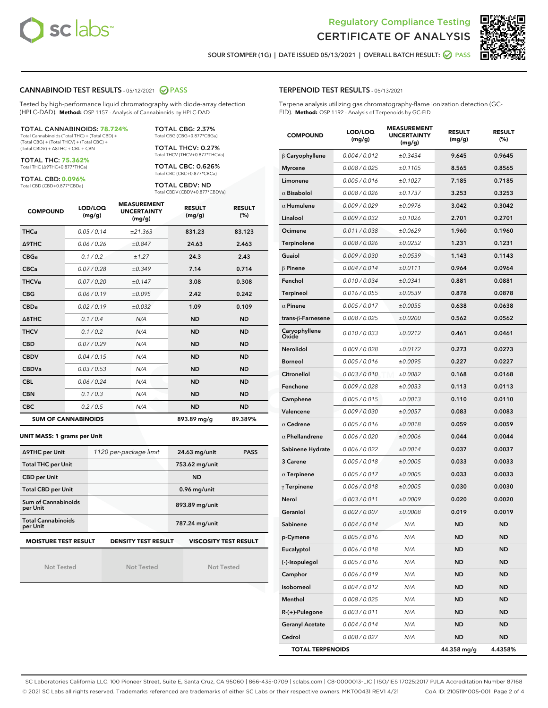



SOUR STOMPER (1G) | DATE ISSUED 05/13/2021 | OVERALL BATCH RESULT: @ PASS

## CANNABINOID TEST RESULTS - 05/12/2021 2 PASS

Tested by high-performance liquid chromatography with diode-array detection (HPLC-DAD). **Method:** QSP 1157 - Analysis of Cannabinoids by HPLC-DAD

#### TOTAL CANNABINOIDS: **78.724%** Total Cannabinoids (Total THC) + (Total CBD) +

(Total CBG) + (Total THCV) + (Total CBC) + (Total CBDV) + ∆8THC + CBL + CBN

TOTAL THC: **75.362%** Total THC (∆9THC+0.877\*THCa)

TOTAL CBD: **0.096%**

Total CBD (CBD+0.877\*CBDa)

TOTAL CBG: 2.37% Total CBG (CBG+0.877\*CBGa)

TOTAL THCV: 0.27% Total THCV (THCV+0.877\*THCVa)

TOTAL CBC: 0.626% Total CBC (CBC+0.877\*CBCa)

TOTAL CBDV: ND Total CBDV (CBDV+0.877\*CBDVa)

| <b>COMPOUND</b>  | LOD/LOQ<br>(mg/g)          | <b>MEASUREMENT</b><br><b>UNCERTAINTY</b><br>(mg/g) | <b>RESULT</b><br>(mg/g) | <b>RESULT</b><br>(%) |
|------------------|----------------------------|----------------------------------------------------|-------------------------|----------------------|
| <b>THCa</b>      | 0.05/0.14                  | ±21.363                                            | 831.23                  | 83.123               |
| <b>A9THC</b>     | 0.06 / 0.26                | ±0.847                                             | 24.63                   | 2.463                |
| <b>CBGa</b>      | 0.1/0.2                    | ±1.27                                              | 24.3                    | 2.43                 |
| <b>CBCa</b>      | 0.07/0.28                  | ±0.349                                             | 7.14                    | 0.714                |
| <b>THCVa</b>     | 0.07/0.20                  | ±0.147                                             | 3.08                    | 0.308                |
| <b>CBG</b>       | 0.06/0.19                  | ±0.095                                             | 2.42                    | 0.242                |
| <b>CBDa</b>      | 0.02/0.19                  | ±0.032                                             | 1.09                    | 0.109                |
| $\triangle$ 8THC | 0.1/0.4                    | N/A                                                | <b>ND</b>               | <b>ND</b>            |
| <b>THCV</b>      | 0.1/0.2                    | N/A                                                | <b>ND</b>               | <b>ND</b>            |
| <b>CBD</b>       | 0.07/0.29                  | N/A                                                | <b>ND</b>               | <b>ND</b>            |
| <b>CBDV</b>      | 0.04 / 0.15                | N/A                                                | <b>ND</b>               | <b>ND</b>            |
| <b>CBDVa</b>     | 0.03/0.53                  | N/A                                                | <b>ND</b>               | <b>ND</b>            |
| <b>CBL</b>       | 0.06 / 0.24                | N/A                                                | <b>ND</b>               | <b>ND</b>            |
| <b>CBN</b>       | 0.1/0.3                    | N/A                                                | <b>ND</b>               | <b>ND</b>            |
| <b>CBC</b>       | 0.2 / 0.5                  | N/A                                                | <b>ND</b>               | <b>ND</b>            |
|                  | <b>SUM OF CANNABINOIDS</b> |                                                    | 893.89 mg/g             | 89.389%              |

#### **UNIT MASS: 1 grams per Unit**

| ∆9THC per Unit                        | 1120 per-package limit     | 24.63 mg/unit<br><b>PASS</b> |
|---------------------------------------|----------------------------|------------------------------|
| <b>Total THC per Unit</b>             |                            | 753.62 mg/unit               |
| <b>CBD per Unit</b>                   |                            | <b>ND</b>                    |
| <b>Total CBD per Unit</b>             |                            | 0.96 mg/unit                 |
| Sum of Cannabinoids<br>per Unit       |                            | 893.89 mg/unit               |
| <b>Total Cannabinoids</b><br>per Unit |                            | 787.24 mg/unit               |
| <b>MOISTURE TEST RESULT</b>           | <b>DENSITY TEST RESULT</b> | <b>VISCOSITY TEST RESULT</b> |

Not Tested

**MOISTURE TEST RESULT**

Not Tested

Not Tested

|  | <b>TERPENOID TEST RESULTS - 05/13/2021</b> |
|--|--------------------------------------------|
|--|--------------------------------------------|

Terpene analysis utilizing gas chromatography-flame ionization detection (GC-FID). **Method:** QSP 1192 - Analysis of Terpenoids by GC-FID

| <b>COMPOUND</b>         | LOD/LOQ<br>(mg/g) | <b>MEASUREMENT</b><br><b>UNCERTAINTY</b><br>(mg/g) | <b>RESULT</b><br>(mg/g) | <b>RESULT</b><br>$(\%)$ |
|-------------------------|-------------------|----------------------------------------------------|-------------------------|-------------------------|
| $\beta$ Caryophyllene   | 0.004 / 0.012     | ±0.3434                                            | 9.645                   | 0.9645                  |
| <b>Myrcene</b>          | 0.008 / 0.025     | ±0.1105                                            | 8.565                   | 0.8565                  |
| Limonene                | 0.005 / 0.016     | ±0.1027                                            | 7.185                   | 0.7185                  |
| $\alpha$ Bisabolol      | 0.008 / 0.026     | ±0.1737                                            | 3.253                   | 0.3253                  |
| $\alpha$ Humulene       | 0.009 / 0.029     | ±0.0976                                            | 3.042                   | 0.3042                  |
| Linalool                | 0.009 / 0.032     | ±0.1026                                            | 2.701                   | 0.2701                  |
| Ocimene                 | 0.011 / 0.038     | ±0.0629                                            | 1.960                   | 0.1960                  |
| Terpinolene             | 0.008 / 0.026     | ±0.0252                                            | 1.231                   | 0.1231                  |
| Guaiol                  | 0.009 / 0.030     | ±0.0539                                            | 1.143                   | 0.1143                  |
| $\beta$ Pinene          | 0.004 / 0.014     | ±0.0111                                            | 0.964                   | 0.0964                  |
| Fenchol                 | 0.010 / 0.034     | ±0.0341                                            | 0.881                   | 0.0881                  |
| Terpineol               | 0.016 / 0.055     | ±0.0539                                            | 0.878                   | 0.0878                  |
| $\alpha$ Pinene         | 0.005 / 0.017     | ±0.0055                                            | 0.638                   | 0.0638                  |
| trans-ß-Farnesene       | 0.008 / 0.025     | ±0.0200                                            | 0.562                   | 0.0562                  |
| Caryophyllene<br>Oxide  | 0.010 / 0.033     | ±0.0212                                            | 0.461                   | 0.0461                  |
| Nerolidol               | 0.009 / 0.028     | ±0.0172                                            | 0.273                   | 0.0273                  |
| <b>Borneol</b>          | 0.005 / 0.016     | ±0.0095                                            | 0.227                   | 0.0227                  |
| Citronellol             | 0.003 / 0.010     | ±0.0082                                            | 0.168                   | 0.0168                  |
| Fenchone                | 0.009 / 0.028     | ±0.0033                                            | 0.113                   | 0.0113                  |
| Camphene                | 0.005 / 0.015     | ±0.0013                                            | 0.110                   | 0.0110                  |
| Valencene               | 0.009 / 0.030     | ±0.0057                                            | 0.083                   | 0.0083                  |
| $\alpha$ Cedrene        | 0.005 / 0.016     | ±0.0018                                            | 0.059                   | 0.0059                  |
| $\alpha$ Phellandrene   | 0.006 / 0.020     | ±0.0006                                            | 0.044                   | 0.0044                  |
| Sabinene Hydrate        | 0.006 / 0.022     | ±0.0014                                            | 0.037                   | 0.0037                  |
| 3 Carene                | 0.005 / 0.018     | ±0.0005                                            | 0.033                   | 0.0033                  |
| $\alpha$ Terpinene      | 0.005 / 0.017     | ±0.0005                                            | 0.033                   | 0.0033                  |
| $\gamma$ Terpinene      | 0.006 / 0.018     | ±0.0005                                            | 0.030                   | 0.0030                  |
| Nerol                   | 0.003 / 0.011     | ±0.0009                                            | 0.020                   | 0.0020                  |
| Geraniol                | 0.002 / 0.007     | ±0.0008                                            | 0.019                   | 0.0019                  |
| Sabinene                | 0.004 / 0.014     | N/A                                                | ND                      | ND                      |
| p-Cymene                | 0.005 / 0.016     | N/A                                                | ND                      | ND                      |
| Eucalyptol              | 0.006 / 0.018     | N/A                                                | ND                      | ND                      |
| (-)-Isopulegol          | 0.005 / 0.016     | N/A                                                | ND                      | <b>ND</b>               |
| Camphor                 | 0.006 / 0.019     | N/A                                                | ND                      | <b>ND</b>               |
| Isoborneol              | 0.004 / 0.012     | N/A                                                | ND                      | ND                      |
| Menthol                 | 0.008 / 0.025     | N/A                                                | ND                      | ND                      |
| R-(+)-Pulegone          | 0.003 / 0.011     | N/A                                                | ND                      | <b>ND</b>               |
| <b>Geranyl Acetate</b>  | 0.004 / 0.014     | N/A                                                | ND                      | ND                      |
| Cedrol                  | 0.008 / 0.027     | N/A                                                | <b>ND</b>               | ND                      |
| <b>TOTAL TERPENOIDS</b> |                   |                                                    | 44.358 mg/g             | 4.4358%                 |

SC Laboratories California LLC. 100 Pioneer Street, Suite E, Santa Cruz, CA 95060 | 866-435-0709 | sclabs.com | C8-0000013-LIC | ISO/IES 17025:2017 PJLA Accreditation Number 87168 © 2021 SC Labs all rights reserved. Trademarks referenced are trademarks of either SC Labs or their respective owners. MKT00431 REV1 4/21 CoA ID: 210511M005-001 Page 2 of 4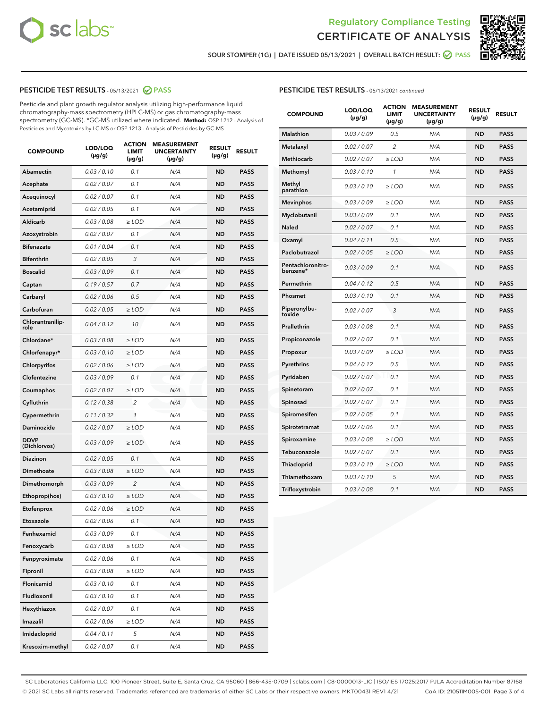



SOUR STOMPER (1G) | DATE ISSUED 05/13/2021 | OVERALL BATCH RESULT: @ PASS

## PESTICIDE TEST RESULTS - 05/13/2021 2 PASS

Pesticide and plant growth regulator analysis utilizing high-performance liquid chromatography-mass spectrometry (HPLC-MS) or gas chromatography-mass spectrometry (GC-MS). \*GC-MS utilized where indicated. **Method:** QSP 1212 - Analysis of Pesticides and Mycotoxins by LC-MS or QSP 1213 - Analysis of Pesticides by GC-MS

| <b>COMPOUND</b>             | LOD/LOQ<br>(µg/g) | <b>ACTION</b><br><b>LIMIT</b><br>$(\mu g/g)$ | <b>MEASUREMENT</b><br><b>UNCERTAINTY</b><br>$(\mu g/g)$ | <b>RESULT</b><br>(µg/g) | <b>RESULT</b> |
|-----------------------------|-------------------|----------------------------------------------|---------------------------------------------------------|-------------------------|---------------|
| <b>Abamectin</b>            | 0.03 / 0.10       | 0.1                                          | N/A                                                     | <b>ND</b>               | <b>PASS</b>   |
| Acephate                    | 0.02 / 0.07       | 0.1                                          | N/A                                                     | <b>ND</b>               | <b>PASS</b>   |
| Acequinocyl                 | 0.02 / 0.07       | 0.1                                          | N/A                                                     | ND                      | <b>PASS</b>   |
| Acetamiprid                 | 0.02 / 0.05       | 0.1                                          | N/A                                                     | <b>ND</b>               | <b>PASS</b>   |
| Aldicarb                    | 0.03 / 0.08       | $\geq$ LOD                                   | N/A                                                     | <b>ND</b>               | <b>PASS</b>   |
| Azoxystrobin                | 0.02 / 0.07       | 0.1                                          | N/A                                                     | ND                      | <b>PASS</b>   |
| <b>Bifenazate</b>           | 0.01 / 0.04       | 0.1                                          | N/A                                                     | <b>ND</b>               | <b>PASS</b>   |
| <b>Bifenthrin</b>           | 0.02 / 0.05       | 3                                            | N/A                                                     | <b>ND</b>               | <b>PASS</b>   |
| <b>Boscalid</b>             | 0.03/0.09         | 0.1                                          | N/A                                                     | ND                      | <b>PASS</b>   |
| Captan                      | 0.19/0.57         | 0.7                                          | N/A                                                     | <b>ND</b>               | <b>PASS</b>   |
| Carbaryl                    | 0.02 / 0.06       | 0.5                                          | N/A                                                     | <b>ND</b>               | <b>PASS</b>   |
| Carbofuran                  | 0.02 / 0.05       | ≥ LOD                                        | N/A                                                     | ND                      | PASS          |
| Chlorantranilip-<br>role    | 0.04 / 0.12       | 10                                           | N/A                                                     | <b>ND</b>               | <b>PASS</b>   |
| Chlordane*                  | 0.03 / 0.08       | $\geq$ LOD                                   | N/A                                                     | <b>ND</b>               | <b>PASS</b>   |
| Chlorfenapyr*               | 0.03 / 0.10       | $\geq$ LOD                                   | N/A                                                     | <b>ND</b>               | <b>PASS</b>   |
| Chlorpyrifos                | 0.02 / 0.06       | $\geq$ LOD                                   | N/A                                                     | <b>ND</b>               | <b>PASS</b>   |
| Clofentezine                | 0.03/0.09         | 0.1                                          | N/A                                                     | <b>ND</b>               | <b>PASS</b>   |
| Coumaphos                   | 0.02 / 0.07       | $\geq$ LOD                                   | N/A                                                     | <b>ND</b>               | <b>PASS</b>   |
| Cyfluthrin                  | 0.12 / 0.38       | $\overline{c}$                               | N/A                                                     | <b>ND</b>               | <b>PASS</b>   |
| Cypermethrin                | 0.11 / 0.32       | 1                                            | N/A                                                     | <b>ND</b>               | <b>PASS</b>   |
| Daminozide                  | 0.02 / 0.07       | $\geq$ LOD                                   | N/A                                                     | <b>ND</b>               | <b>PASS</b>   |
| <b>DDVP</b><br>(Dichlorvos) | 0.03 / 0.09       | $\geq$ LOD                                   | N/A                                                     | <b>ND</b>               | <b>PASS</b>   |
| <b>Diazinon</b>             | 0.02 / 0.05       | 0.1                                          | N/A                                                     | <b>ND</b>               | <b>PASS</b>   |
| Dimethoate                  | 0.03 / 0.08       | $\geq$ LOD                                   | N/A                                                     | <b>ND</b>               | <b>PASS</b>   |
| Dimethomorph                | 0.03 / 0.09       | 2                                            | N/A                                                     | <b>ND</b>               | <b>PASS</b>   |
| Ethoprop(hos)               | 0.03 / 0.10       | $\ge$ LOD                                    | N/A                                                     | <b>ND</b>               | <b>PASS</b>   |
| Etofenprox                  | 0.02 / 0.06       | $\ge$ LOD                                    | N/A                                                     | <b>ND</b>               | <b>PASS</b>   |
| Etoxazole                   | 0.02 / 0.06       | 0.1                                          | N/A                                                     | <b>ND</b>               | <b>PASS</b>   |
| Fenhexamid                  | 0.03 / 0.09       | 0.1                                          | N/A                                                     | ND                      | <b>PASS</b>   |
| Fenoxycarb                  | 0.03 / 0.08       | ≥ LOD                                        | N/A                                                     | ND                      | <b>PASS</b>   |
| Fenpyroximate               | 0.02 / 0.06       | 0.1                                          | N/A                                                     | <b>ND</b>               | <b>PASS</b>   |
| Fipronil                    | 0.03 / 0.08       | $\ge$ LOD                                    | N/A                                                     | <b>ND</b>               | <b>PASS</b>   |
| Flonicamid                  | 0.03 / 0.10       | 0.1                                          | N/A                                                     | <b>ND</b>               | <b>PASS</b>   |
| Fludioxonil                 | 0.03 / 0.10       | 0.1                                          | N/A                                                     | <b>ND</b>               | <b>PASS</b>   |
| Hexythiazox                 | 0.02 / 0.07       | 0.1                                          | N/A                                                     | <b>ND</b>               | <b>PASS</b>   |
| Imazalil                    | 0.02 / 0.06       | $\geq$ LOD                                   | N/A                                                     | <b>ND</b>               | <b>PASS</b>   |
| Imidacloprid                | 0.04 / 0.11       | 5                                            | N/A                                                     | <b>ND</b>               | <b>PASS</b>   |
| Kresoxim-methyl             | 0.02 / 0.07       | 0.1                                          | N/A                                                     | <b>ND</b>               | <b>PASS</b>   |

## PESTICIDE TEST RESULTS - 05/13/2021 continued

| <b>COMPOUND</b>               | LOD/LOQ<br>$(\mu g/g)$ | <b>ACTION</b><br><b>LIMIT</b><br>$(\mu g/g)$ | <b>MEASUREMENT</b><br><b>UNCERTAINTY</b><br>$(\mu g/g)$ | <b>RESULT</b><br>(µg/g) | <b>RESULT</b> |
|-------------------------------|------------------------|----------------------------------------------|---------------------------------------------------------|-------------------------|---------------|
| <b>Malathion</b>              | 0.03 / 0.09            | 0.5                                          | N/A                                                     | <b>ND</b>               | <b>PASS</b>   |
| Metalaxyl                     | 0.02 / 0.07            | 2                                            | N/A                                                     | <b>ND</b>               | <b>PASS</b>   |
| <b>Methiocarb</b>             | 0.02 / 0.07            | $\geq$ LOD                                   | N/A                                                     | <b>ND</b>               | <b>PASS</b>   |
| Methomyl                      | 0.03 / 0.10            | $\mathbf{1}$                                 | N/A                                                     | ND                      | <b>PASS</b>   |
| Methyl<br>parathion           | 0.03/0.10              | $\geq$ LOD                                   | N/A                                                     | <b>ND</b>               | <b>PASS</b>   |
| <b>Mevinphos</b>              | 0.03 / 0.09            | $\geq$ LOD                                   | N/A                                                     | <b>ND</b>               | <b>PASS</b>   |
| Myclobutanil                  | 0.03 / 0.09            | 0.1                                          | N/A                                                     | <b>ND</b>               | <b>PASS</b>   |
| Naled                         | 0.02 / 0.07            | 0.1                                          | N/A                                                     | <b>ND</b>               | <b>PASS</b>   |
| Oxamyl                        | 0.04 / 0.11            | 0.5                                          | N/A                                                     | <b>ND</b>               | <b>PASS</b>   |
| Paclobutrazol                 | 0.02 / 0.05            | ≥ LOD                                        | N/A                                                     | <b>ND</b>               | PASS          |
| Pentachloronitro-<br>benzene* | 0.03 / 0.09            | 0.1                                          | N/A                                                     | ND                      | <b>PASS</b>   |
| Permethrin                    | 0.04/0.12              | 0.5                                          | N/A                                                     | <b>ND</b>               | <b>PASS</b>   |
| Phosmet                       | 0.03 / 0.10            | 0.1                                          | N/A                                                     | <b>ND</b>               | <b>PASS</b>   |
| Piperonylbu-<br>toxide        | 0.02 / 0.07            | 3                                            | N/A                                                     | <b>ND</b>               | <b>PASS</b>   |
| Prallethrin                   | 0.03 / 0.08            | 0.1                                          | N/A                                                     | <b>ND</b>               | <b>PASS</b>   |
| Propiconazole                 | 0.02 / 0.07            | 0.1                                          | N/A                                                     | <b>ND</b>               | <b>PASS</b>   |
| Propoxur                      | 0.03 / 0.09            | $\geq$ LOD                                   | N/A                                                     | <b>ND</b>               | <b>PASS</b>   |
| Pyrethrins                    | 0.04/0.12              | 0.5                                          | N/A                                                     | <b>ND</b>               | <b>PASS</b>   |
| Pyridaben                     | 0.02 / 0.07            | 0.1                                          | N/A                                                     | <b>ND</b>               | <b>PASS</b>   |
| Spinetoram                    | 0.02 / 0.07            | 0.1                                          | N/A                                                     | ND                      | <b>PASS</b>   |
| Spinosad                      | 0.02 / 0.07            | 0.1                                          | N/A                                                     | <b>ND</b>               | <b>PASS</b>   |
| Spiromesifen                  | 0.02 / 0.05            | 0.1                                          | N/A                                                     | <b>ND</b>               | <b>PASS</b>   |
| Spirotetramat                 | 0.02 / 0.06            | 0.1                                          | N/A                                                     | <b>ND</b>               | <b>PASS</b>   |
| Spiroxamine                   | 0.03 / 0.08            | $\geq$ LOD                                   | N/A                                                     | <b>ND</b>               | <b>PASS</b>   |
| Tebuconazole                  | 0.02 / 0.07            | 0.1                                          | N/A                                                     | <b>ND</b>               | <b>PASS</b>   |
| Thiacloprid                   | 0.03 / 0.10            | $\geq$ LOD                                   | N/A                                                     | <b>ND</b>               | <b>PASS</b>   |
| Thiamethoxam                  | 0.03 / 0.10            | 5                                            | N/A                                                     | <b>ND</b>               | <b>PASS</b>   |
| Trifloxystrobin               | 0.03 / 0.08            | 0.1                                          | N/A                                                     | <b>ND</b>               | <b>PASS</b>   |

SC Laboratories California LLC. 100 Pioneer Street, Suite E, Santa Cruz, CA 95060 | 866-435-0709 | sclabs.com | C8-0000013-LIC | ISO/IES 17025:2017 PJLA Accreditation Number 87168 © 2021 SC Labs all rights reserved. Trademarks referenced are trademarks of either SC Labs or their respective owners. MKT00431 REV1 4/21 CoA ID: 210511M005-001 Page 3 of 4